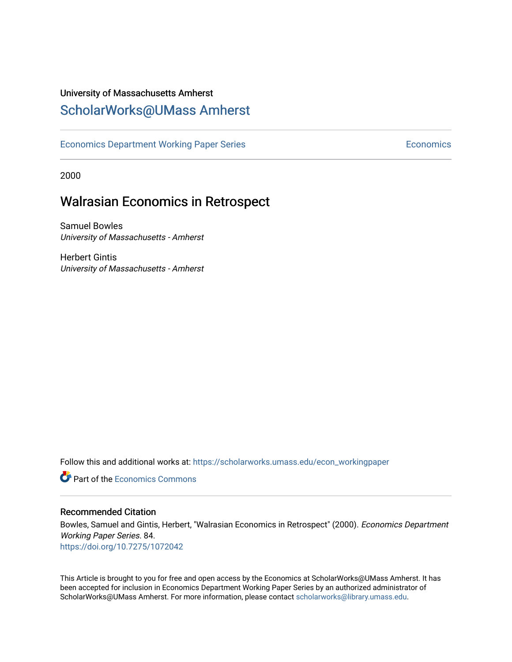# University of Massachusetts Amherst

## [ScholarWorks@UMass Amherst](https://scholarworks.umass.edu/)

[Economics Department Working Paper Series](https://scholarworks.umass.edu/econ_workingpaper) **Economics** Economics

2000

## Walrasian Economics in Retrospect

Samuel Bowles University of Massachusetts - Amherst

Herbert Gintis University of Massachusetts - Amherst

Follow this and additional works at: [https://scholarworks.umass.edu/econ\\_workingpaper](https://scholarworks.umass.edu/econ_workingpaper?utm_source=scholarworks.umass.edu%2Fecon_workingpaper%2F84&utm_medium=PDF&utm_campaign=PDFCoverPages) 

**C** Part of the [Economics Commons](http://network.bepress.com/hgg/discipline/340?utm_source=scholarworks.umass.edu%2Fecon_workingpaper%2F84&utm_medium=PDF&utm_campaign=PDFCoverPages)

#### Recommended Citation

Bowles, Samuel and Gintis, Herbert, "Walrasian Economics in Retrospect" (2000). Economics Department Working Paper Series. 84. <https://doi.org/10.7275/1072042>

This Article is brought to you for free and open access by the Economics at ScholarWorks@UMass Amherst. It has been accepted for inclusion in Economics Department Working Paper Series by an authorized administrator of ScholarWorks@UMass Amherst. For more information, please contact [scholarworks@library.umass.edu.](mailto:scholarworks@library.umass.edu)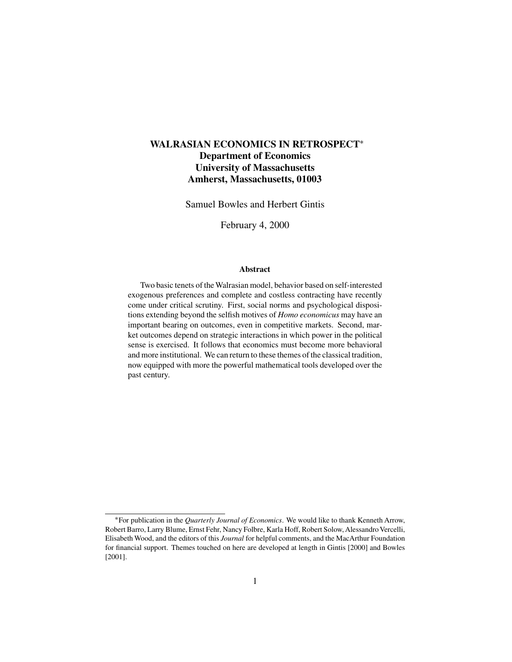#### **WALRASIAN ECONOMICS IN RETROSPECT**∗ **Department of Economics University of Massachusetts Amherst, Massachusetts, 01003**

Samuel Bowles and Herbert Gintis

February 4, 2000

#### **Abstract**

Two basic tenets of the Walrasian model, behavior based on self-interested exogenous preferences and complete and costless contracting have recently come under critical scrutiny. First, social norms and psychological dispositions extending beyond the selfish motives of *Homo economicus* may have an important bearing on outcomes, even in competitive markets. Second, market outcomes depend on strategic interactions in which power in the political sense is exercised. It follows that economics must become more behavioral and more institutional. We can return to these themes of the classical tradition, now equipped with more the powerful mathematical tools developed over the past century.

<sup>∗</sup>For publication in the *Quarterly Journal of Economics*. We would like to thank Kenneth Arrow, Robert Barro, Larry Blume, Ernst Fehr, Nancy Folbre, Karla Hoff, Robert Solow, Alessandro Vercelli, Elisabeth Wood, and the editors of this *Journal* for helpful comments, and the MacArthur Foundation for financial support. Themes touched on here are developed at length in Gintis [2000] and Bowles [2001].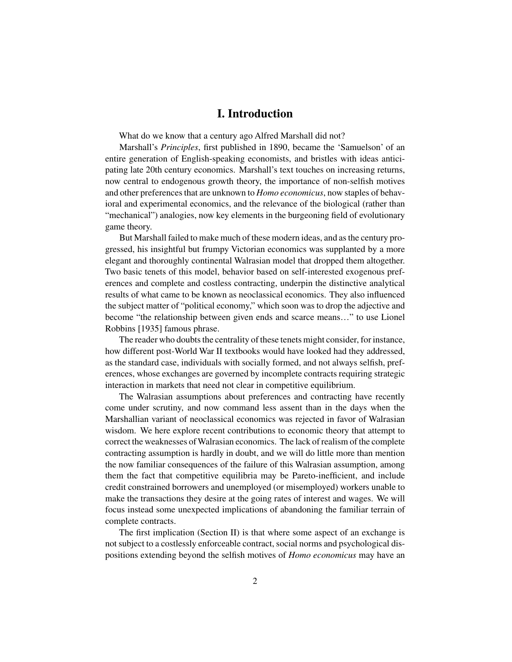#### **I. Introduction**

What do we know that a century ago Alfred Marshall did not?

Marshall's *Principles*, first published in 1890, became the 'Samuelson' of an entire generation of English-speaking economists, and bristles with ideas anticipating late 20th century economics. Marshall's text touches on increasing returns, now central to endogenous growth theory, the importance of non-selfish motives and other preferences that are unknown to *Homo economicus*, now staples of behavioral and experimental economics, and the relevance of the biological (rather than "mechanical") analogies, now key elements in the burgeoning field of evolutionary game theory.

But Marshall failed to make much of these modern ideas, and as the century progressed, his insightful but frumpy Victorian economics was supplanted by a more elegant and thoroughly continental Walrasian model that dropped them altogether. Two basic tenets of this model, behavior based on self-interested exogenous preferences and complete and costless contracting, underpin the distinctive analytical results of what came to be known as neoclassical economics. They also influenced the subject matter of "political economy," which soon was to drop the adjective and become "the relationship between given ends and scarce means…" to use Lionel Robbins [1935] famous phrase.

The reader who doubts the centrality of these tenets might consider, for instance, how different post-World War II textbooks would have looked had they addressed, as the standard case, individuals with socially formed, and not always selfish, preferences, whose exchanges are governed by incomplete contracts requiring strategic interaction in markets that need not clear in competitive equilibrium.

The Walrasian assumptions about preferences and contracting have recently come under scrutiny, and now command less assent than in the days when the Marshallian variant of neoclassical economics was rejected in favor of Walrasian wisdom. We here explore recent contributions to economic theory that attempt to correct the weaknesses of Walrasian economics. The lack of realism of the complete contracting assumption is hardly in doubt, and we will do little more than mention the now familiar consequences of the failure of this Walrasian assumption, among them the fact that competitive equilibria may be Pareto-inefficient, and include credit constrained borrowers and unemployed (or misemployed) workers unable to make the transactions they desire at the going rates of interest and wages. We will focus instead some unexpected implications of abandoning the familiar terrain of complete contracts.

The first implication (Section II) is that where some aspect of an exchange is not subject to a costlessly enforceable contract, social norms and psychological dispositions extending beyond the selfish motives of *Homo economicus* may have an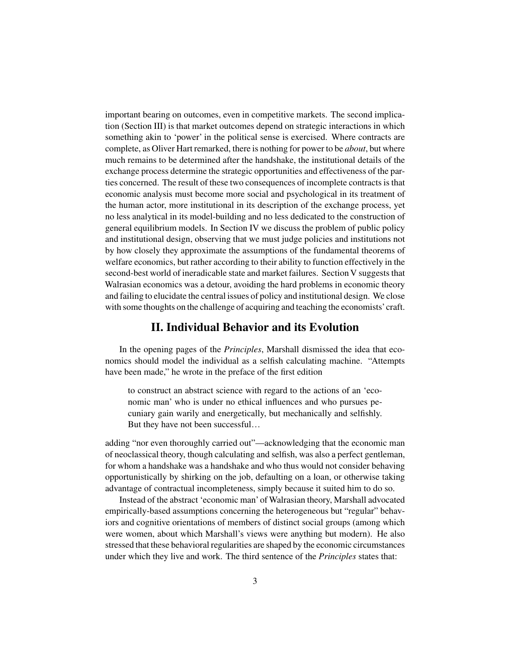important bearing on outcomes, even in competitive markets. The second implication (Section III) is that market outcomes depend on strategic interactions in which something akin to 'power' in the political sense is exercised. Where contracts are complete, as Oliver Hart remarked, there is nothing for power to be *about*, but where much remains to be determined after the handshake, the institutional details of the exchange process determine the strategic opportunities and effectiveness of the parties concerned. The result of these two consequences of incomplete contracts is that economic analysis must become more social and psychological in its treatment of the human actor, more institutional in its description of the exchange process, yet no less analytical in its model-building and no less dedicated to the construction of general equilibrium models. In Section IV we discuss the problem of public policy and institutional design, observing that we must judge policies and institutions not by how closely they approximate the assumptions of the fundamental theorems of welfare economics, but rather according to their ability to function effectively in the second-best world of ineradicable state and market failures. Section V suggests that Walrasian economics was a detour, avoiding the hard problems in economic theory and failing to elucidate the central issues of policy and institutional design. We close with some thoughts on the challenge of acquiring and teaching the economists'craft.

#### **II. Individual Behavior and its Evolution**

In the opening pages of the *Principles*, Marshall dismissed the idea that economics should model the individual as a selfish calculating machine. "Attempts have been made," he wrote in the preface of the first edition

to construct an abstract science with regard to the actions of an 'economic man' who is under no ethical influences and who pursues pecuniary gain warily and energetically, but mechanically and selfishly. But they have not been successful…

adding "nor even thoroughly carried out"—acknowledging that the economic man of neoclassical theory, though calculating and selfish, was also a perfect gentleman, for whom a handshake was a handshake and who thus would not consider behaving opportunistically by shirking on the job, defaulting on a loan, or otherwise taking advantage of contractual incompleteness, simply because it suited him to do so.

Instead of the abstract 'economic man'of Walrasian theory, Marshall advocated empirically-based assumptions concerning the heterogeneous but "regular" behaviors and cognitive orientations of members of distinct social groups (among which were women, about which Marshall's views were anything but modern). He also stressed that these behavioral regularities are shaped by the economic circumstances under which they live and work. The third sentence of the *Principles* states that: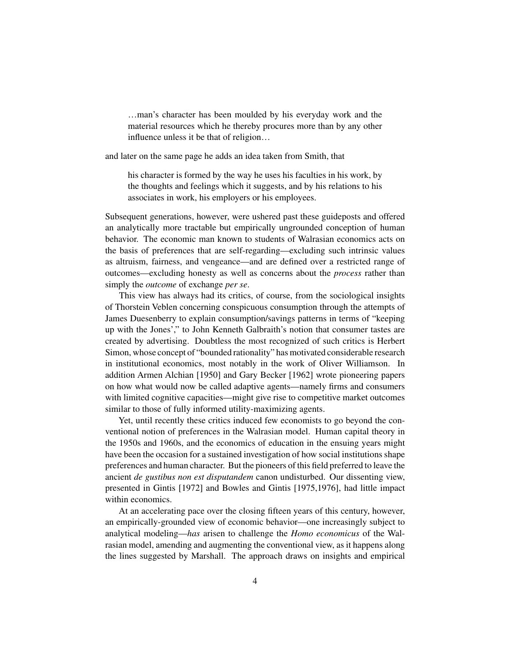…man's character has been moulded by his everyday work and the material resources which he thereby procures more than by any other influence unless it be that of religion…

and later on the same page he adds an idea taken from Smith, that

his character is formed by the way he uses his faculties in his work, by the thoughts and feelings which it suggests, and by his relations to his associates in work, his employers or his employees.

Subsequent generations, however, were ushered past these guideposts and offered an analytically more tractable but empirically ungrounded conception of human behavior. The economic man known to students of Walrasian economics acts on the basis of preferences that are self-regarding—excluding such intrinsic values as altruism, fairness, and vengeance—and are defined over a restricted range of outcomes—excluding honesty as well as concerns about the *process* rather than simply the *outcome* of exchange *per se*.

This view has always had its critics, of course, from the sociological insights of Thorstein Veblen concerning conspicuous consumption through the attempts of James Duesenberry to explain consumption/savings patterns in terms of "keeping up with the Jones'," to John Kenneth Galbraith's notion that consumer tastes are created by advertising. Doubtless the most recognized of such critics is Herbert Simon, whose concept of "bounded rationality" has motivated considerable research in institutional economics, most notably in the work of Oliver Williamson. In addition Armen Alchian [1950] and Gary Becker [1962] wrote pioneering papers on how what would now be called adaptive agents—namely firms and consumers with limited cognitive capacities—might give rise to competitive market outcomes similar to those of fully informed utility-maximizing agents.

Yet, until recently these critics induced few economists to go beyond the conventional notion of preferences in the Walrasian model. Human capital theory in the 1950s and 1960s, and the economics of education in the ensuing years might have been the occasion for a sustained investigation of how social institutions shape preferences and human character. But the pioneers of this field preferred to leave the ancient *de gustibus non est disputandem* canon undisturbed. Our dissenting view, presented in Gintis [1972] and Bowles and Gintis [1975,1976], had little impact within economics.

At an accelerating pace over the closing fifteen years of this century, however, an empirically-grounded view of economic behavior—one increasingly subject to analytical modeling—*has* arisen to challenge the *Homo economicus* of the Walrasian model, amending and augmenting the conventional view, as it happens along the lines suggested by Marshall. The approach draws on insights and empirical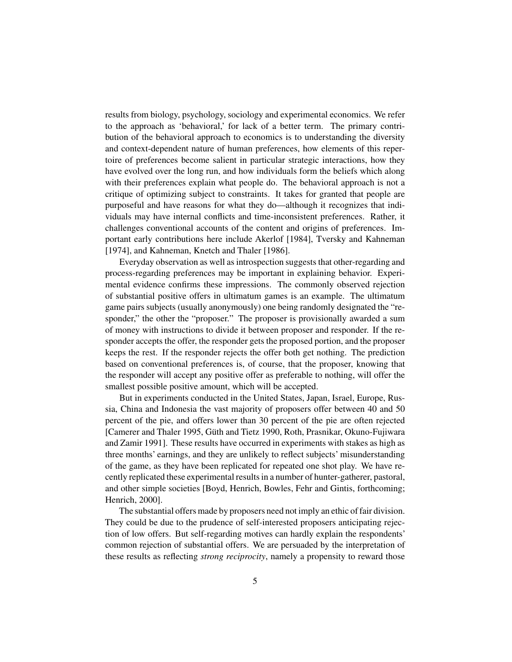results from biology, psychology, sociology and experimental economics. We refer to the approach as 'behavioral,' for lack of a better term. The primary contribution of the behavioral approach to economics is to understanding the diversity and context-dependent nature of human preferences, how elements of this repertoire of preferences become salient in particular strategic interactions, how they have evolved over the long run, and how individuals form the beliefs which along with their preferences explain what people do. The behavioral approach is not a critique of optimizing subject to constraints. It takes for granted that people are purposeful and have reasons for what they do—although it recognizes that individuals may have internal conflicts and time-inconsistent preferences. Rather, it challenges conventional accounts of the content and origins of preferences. Important early contributions here include Akerlof [1984], Tversky and Kahneman [1974], and Kahneman, Knetch and Thaler [1986].

Everyday observation as well as introspection suggests that other-regarding and process-regarding preferences may be important in explaining behavior. Experimental evidence confirms these impressions. The commonly observed rejection of substantial positive offers in ultimatum games is an example. The ultimatum game pairs subjects (usually anonymously) one being randomly designated the "responder," the other the "proposer." The proposer is provisionally awarded a sum of money with instructions to divide it between proposer and responder. If the responder accepts the offer, the responder gets the proposed portion, and the proposer keeps the rest. If the responder rejects the offer both get nothing. The prediction based on conventional preferences is, of course, that the proposer, knowing that the responder will accept any positive offer as preferable to nothing, will offer the smallest possible positive amount, which will be accepted.

But in experiments conducted in the United States, Japan, Israel, Europe, Russia, China and Indonesia the vast majority of proposers offer between 40 and 50 percent of the pie, and offers lower than 30 percent of the pie are often rejected [Camerer and Thaler 1995, Güth and Tietz 1990, Roth, Prasnikar, Okuno-Fujiwara and Zamir 1991]. These results have occurred in experiments with stakes as high as three months' earnings, and they are unlikely to reflect subjects' misunderstanding of the game, as they have been replicated for repeated one shot play. We have recently replicated these experimental results in a number of hunter-gatherer, pastoral, and other simple societies [Boyd, Henrich, Bowles, Fehr and Gintis, forthcoming; Henrich, 2000].

The substantial offers made by proposers need not imply an ethic of fair division. They could be due to the prudence of self-interested proposers anticipating rejection of low offers. But self-regarding motives can hardly explain the respondents' common rejection of substantial offers. We are persuaded by the interpretation of these results as reflecting *strong reciprocity*, namely a propensity to reward those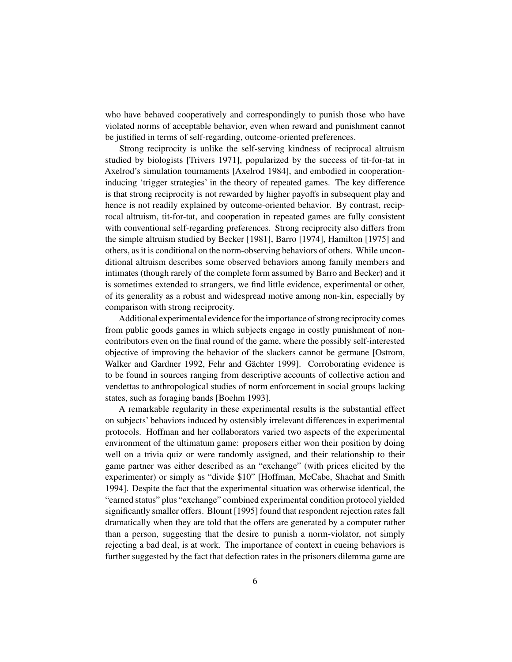who have behaved cooperatively and correspondingly to punish those who have violated norms of acceptable behavior, even when reward and punishment cannot be justified in terms of self-regarding, outcome-oriented preferences.

Strong reciprocity is unlike the self-serving kindness of reciprocal altruism studied by biologists [Trivers 1971], popularized by the success of tit-for-tat in Axelrod's simulation tournaments [Axelrod 1984], and embodied in cooperationinducing 'trigger strategies' in the theory of repeated games. The key difference is that strong reciprocity is not rewarded by higher payoffs in subsequent play and hence is not readily explained by outcome-oriented behavior. By contrast, reciprocal altruism, tit-for-tat, and cooperation in repeated games are fully consistent with conventional self-regarding preferences. Strong reciprocity also differs from the simple altruism studied by Becker [1981], Barro [1974], Hamilton [1975] and others, as it is conditional on the norm-observing behaviors of others. While unconditional altruism describes some observed behaviors among family members and intimates (though rarely of the complete form assumed by Barro and Becker) and it is sometimes extended to strangers, we find little evidence, experimental or other, of its generality as a robust and widespread motive among non-kin, especially by comparison with strong reciprocity.

Additional experimental evidence for the importance of strong reciprocity comes from public goods games in which subjects engage in costly punishment of noncontributors even on the final round of the game, where the possibly self-interested objective of improving the behavior of the slackers cannot be germane [Ostrom, Walker and Gardner 1992, Fehr and Gächter 1999]. Corroborating evidence is to be found in sources ranging from descriptive accounts of collective action and vendettas to anthropological studies of norm enforcement in social groups lacking states, such as foraging bands [Boehm 1993].

A remarkable regularity in these experimental results is the substantial effect on subjects' behaviors induced by ostensibly irrelevant differences in experimental protocols. Hoffman and her collaborators varied two aspects of the experimental environment of the ultimatum game: proposers either won their position by doing well on a trivia quiz or were randomly assigned, and their relationship to their game partner was either described as an "exchange" (with prices elicited by the experimenter) or simply as "divide \$10" [Hoffman, McCabe, Shachat and Smith 1994]. Despite the fact that the experimental situation was otherwise identical, the "earned status" plus "exchange" combined experimental condition protocol yielded significantly smaller offers. Blount [1995] found that respondent rejection rates fall dramatically when they are told that the offers are generated by a computer rather than a person, suggesting that the desire to punish a norm-violator, not simply rejecting a bad deal, is at work. The importance of context in cueing behaviors is further suggested by the fact that defection rates in the prisoners dilemma game are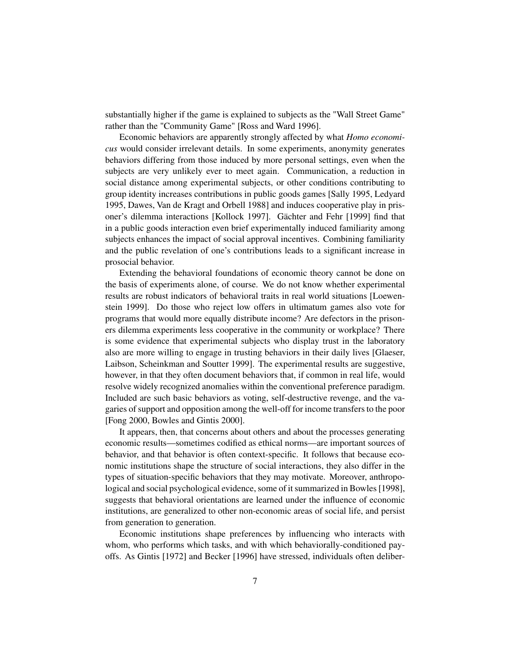substantially higher if the game is explained to subjects as the "Wall Street Game" rather than the "Community Game" [Ross and Ward 1996].

Economic behaviors are apparently strongly affected by what *Homo economicus* would consider irrelevant details. In some experiments, anonymity generates behaviors differing from those induced by more personal settings, even when the subjects are very unlikely ever to meet again. Communication, a reduction in social distance among experimental subjects, or other conditions contributing to group identity increases contributions in public goods games [Sally 1995, Ledyard 1995, Dawes, Van de Kragt and Orbell 1988] and induces cooperative play in prisoner's dilemma interactions [Kollock 1997]. Gächter and Fehr [1999] find that in a public goods interaction even brief experimentally induced familiarity among subjects enhances the impact of social approval incentives. Combining familiarity and the public revelation of one's contributions leads to a significant increase in prosocial behavior.

Extending the behavioral foundations of economic theory cannot be done on the basis of experiments alone, of course. We do not know whether experimental results are robust indicators of behavioral traits in real world situations [Loewenstein 1999]. Do those who reject low offers in ultimatum games also vote for programs that would more equally distribute income? Are defectors in the prisoners dilemma experiments less cooperative in the community or workplace? There is some evidence that experimental subjects who display trust in the laboratory also are more willing to engage in trusting behaviors in their daily lives [Glaeser, Laibson, Scheinkman and Soutter 1999]. The experimental results are suggestive, however, in that they often document behaviors that, if common in real life, would resolve widely recognized anomalies within the conventional preference paradigm. Included are such basic behaviors as voting, self-destructive revenge, and the vagaries of support and opposition among the well-off for income transfers to the poor [Fong 2000, Bowles and Gintis 2000].

It appears, then, that concerns about others and about the processes generating economic results—sometimes codified as ethical norms—are important sources of behavior, and that behavior is often context-specific. It follows that because economic institutions shape the structure of social interactions, they also differ in the types of situation-specific behaviors that they may motivate. Moreover, anthropological and social psychological evidence, some of it summarized in Bowles [1998], suggests that behavioral orientations are learned under the influence of economic institutions, are generalized to other non-economic areas of social life, and persist from generation to generation.

Economic institutions shape preferences by influencing who interacts with whom, who performs which tasks, and with which behaviorally-conditioned payoffs. As Gintis [1972] and Becker [1996] have stressed, individuals often deliber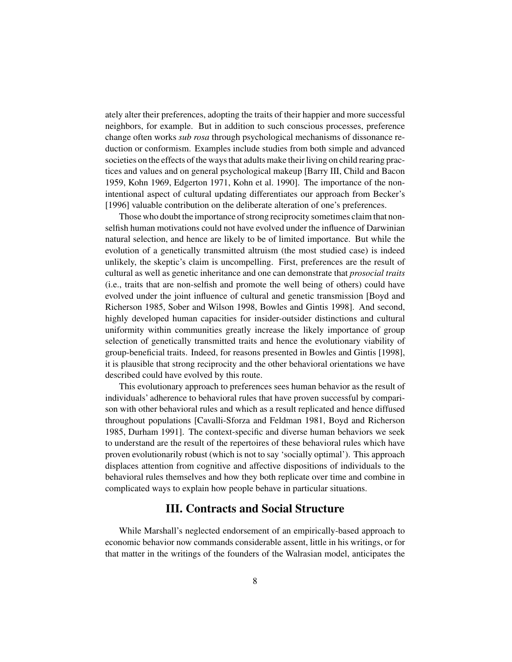ately alter their preferences, adopting the traits of their happier and more successful neighbors, for example. But in addition to such conscious processes, preference change often works *sub rosa* through psychological mechanisms of dissonance reduction or conformism. Examples include studies from both simple and advanced societies on the effects of the ways that adults make their living on child rearing practices and values and on general psychological makeup [Barry III, Child and Bacon 1959, Kohn 1969, Edgerton 1971, Kohn et al. 1990]. The importance of the nonintentional aspect of cultural updating differentiates our approach from Becker's [1996] valuable contribution on the deliberate alteration of one's preferences.

Those who doubt the importance of strong reciprocity sometimes claim that nonselfish human motivations could not have evolved under the influence of Darwinian natural selection, and hence are likely to be of limited importance. But while the evolution of a genetically transmitted altruism (the most studied case) is indeed unlikely, the skeptic's claim is uncompelling. First, preferences are the result of cultural as well as genetic inheritance and one can demonstrate that *prosocial traits* (i.e., traits that are non-selfish and promote the well being of others) could have evolved under the joint influence of cultural and genetic transmission [Boyd and Richerson 1985, Sober and Wilson 1998, Bowles and Gintis 1998]. And second, highly developed human capacities for insider-outsider distinctions and cultural uniformity within communities greatly increase the likely importance of group selection of genetically transmitted traits and hence the evolutionary viability of group-beneficial traits. Indeed, for reasons presented in Bowles and Gintis [1998], it is plausible that strong reciprocity and the other behavioral orientations we have described could have evolved by this route.

This evolutionary approach to preferences sees human behavior as the result of individuals' adherence to behavioral rules that have proven successful by comparison with other behavioral rules and which as a result replicated and hence diffused throughout populations [Cavalli-Sforza and Feldman 1981, Boyd and Richerson 1985, Durham 1991]. The context-specific and diverse human behaviors we seek to understand are the result of the repertoires of these behavioral rules which have proven evolutionarily robust (which is not to say 'socially optimal'). This approach displaces attention from cognitive and affective dispositions of individuals to the behavioral rules themselves and how they both replicate over time and combine in complicated ways to explain how people behave in particular situations.

#### **III. Contracts and Social Structure**

While Marshall's neglected endorsement of an empirically-based approach to economic behavior now commands considerable assent, little in his writings, or for that matter in the writings of the founders of the Walrasian model, anticipates the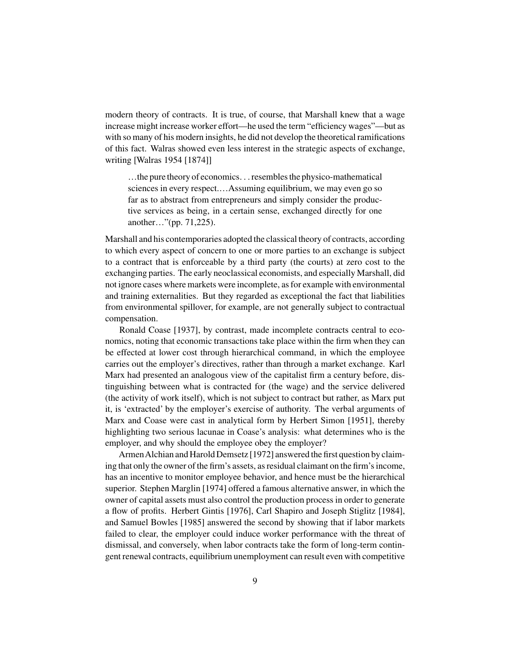modern theory of contracts. It is true, of course, that Marshall knew that a wage increase might increase worker effort—he used the term "efficiency wages"—but as with so many of his modern insights, he did not develop the theoretical ramifications of this fact. Walras showed even less interest in the strategic aspects of exchange, writing [Walras 1954 [1874]]

 $\dots$  the pure theory of economics... resembles the physico-mathematical sciences in every respect.…Assuming equilibrium, we may even go so far as to abstract from entrepreneurs and simply consider the productive services as being, in a certain sense, exchanged directly for one another…"(pp. 71,225).

Marshall and his contemporaries adopted the classical theory of contracts, according to which every aspect of concern to one or more parties to an exchange is subject to a contract that is enforceable by a third party (the courts) at zero cost to the exchanging parties. The early neoclassical economists, and especially Marshall, did not ignore cases where markets were incomplete, as for example with environmental and training externalities. But they regarded as exceptional the fact that liabilities from environmental spillover, for example, are not generally subject to contractual compensation.

Ronald Coase [1937], by contrast, made incomplete contracts central to economics, noting that economic transactions take place within the firm when they can be effected at lower cost through hierarchical command, in which the employee carries out the employer's directives, rather than through a market exchange. Karl Marx had presented an analogous view of the capitalist firm a century before, distinguishing between what is contracted for (the wage) and the service delivered (the activity of work itself), which is not subject to contract but rather, as Marx put it, is 'extracted' by the employer's exercise of authority. The verbal arguments of Marx and Coase were cast in analytical form by Herbert Simon [1951], thereby highlighting two serious lacunae in Coase's analysis: what determines who is the employer, and why should the employee obey the employer?

Armen Alchian and Harold Demsetz [1972] answered the first question by claiming that only the owner of the firm's assets, as residual claimant on the firm's income, has an incentive to monitor employee behavior, and hence must be the hierarchical superior. Stephen Marglin [1974] offered a famous alternative answer, in which the owner of capital assets must also control the production process in order to generate a flow of profits. Herbert Gintis [1976], Carl Shapiro and Joseph Stiglitz [1984], and Samuel Bowles [1985] answered the second by showing that if labor markets failed to clear, the employer could induce worker performance with the threat of dismissal, and conversely, when labor contracts take the form of long-term contingent renewal contracts, equilibrium unemployment can result even with competitive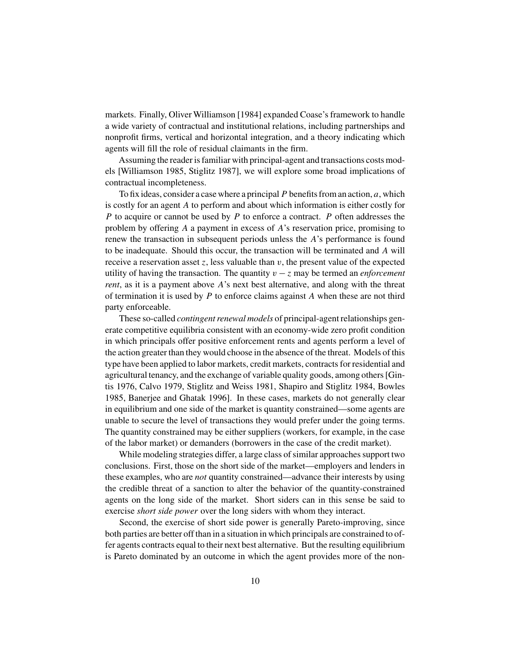markets. Finally, Oliver Williamson [1984] expanded Coase's framework to handle a wide variety of contractual and institutional relations, including partnerships and nonprofit firms, vertical and horizontal integration, and a theory indicating which agents will fill the role of residual claimants in the firm.

Assuming the reader is familiar with principal-agent and transactions costs models [Williamson 1985, Stiglitz 1987], we will explore some broad implications of contractual incompleteness.

To fix ideas, consider a case where a principal  $P$  benefits from an action,  $a$ , which is costly for an agent A to perform and about which information is either costly for P to acquire or cannot be used by P to enforce a contract. P often addresses the problem by offering A a payment in excess of A's reservation price, promising to renew the transaction in subsequent periods unless the A's performance is found to be inadequate. Should this occur, the transaction will be terminated and A will receive a reservation asset z, less valuable than  $v$ , the present value of the expected utility of having the transaction. The quantity  $v - z$  may be termed an *enforcement rent*, as it is a payment above A's next best alternative, and along with the threat of termination it is used by  $P$  to enforce claims against  $A$  when these are not third party enforceable.

These so-called *contingent renewal models* of principal-agent relationships generate competitive equilibria consistent with an economy-wide zero profit condition in which principals offer positive enforcement rents and agents perform a level of the action greater than they would choose in the absence of the threat. Models of this type have been applied to labor markets, credit markets, contracts for residential and agricultural tenancy, and the exchange of variable quality goods, among others [Gintis 1976, Calvo 1979, Stiglitz and Weiss 1981, Shapiro and Stiglitz 1984, Bowles 1985, Banerjee and Ghatak 1996]. In these cases, markets do not generally clear in equilibrium and one side of the market is quantity constrained—some agents are unable to secure the level of transactions they would prefer under the going terms. The quantity constrained may be either suppliers (workers, for example, in the case of the labor market) or demanders (borrowers in the case of the credit market).

While modeling strategies differ, a large class of similar approaches support two conclusions. First, those on the short side of the market—employers and lenders in these examples, who are *not* quantity constrained—advance their interests by using the credible threat of a sanction to alter the behavior of the quantity-constrained agents on the long side of the market. Short siders can in this sense be said to exercise *short side power* over the long siders with whom they interact.

Second, the exercise of short side power is generally Pareto-improving, since both parties are better off than in a situation in which principals are constrained to offer agents contracts equal to their next best alternative. But the resulting equilibrium is Pareto dominated by an outcome in which the agent provides more of the non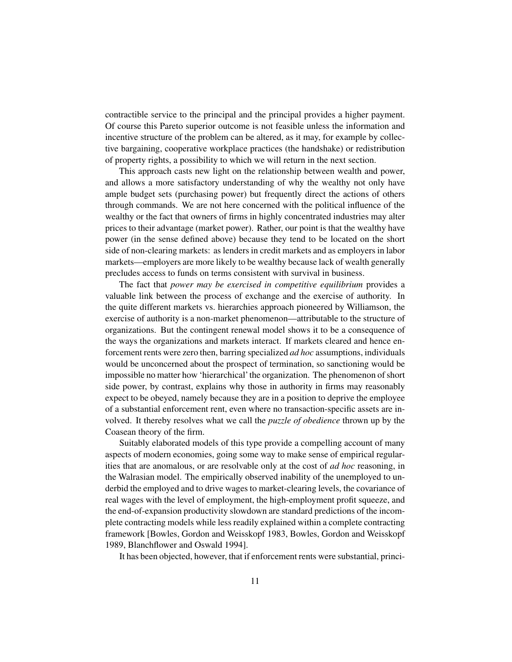contractible service to the principal and the principal provides a higher payment. Of course this Pareto superior outcome is not feasible unless the information and incentive structure of the problem can be altered, as it may, for example by collective bargaining, cooperative workplace practices (the handshake) or redistribution of property rights, a possibility to which we will return in the next section.

This approach casts new light on the relationship between wealth and power, and allows a more satisfactory understanding of why the wealthy not only have ample budget sets (purchasing power) but frequently direct the actions of others through commands. We are not here concerned with the political influence of the wealthy or the fact that owners of firms in highly concentrated industries may alter prices to their advantage (market power). Rather, our point is that the wealthy have power (in the sense defined above) because they tend to be located on the short side of non-clearing markets: as lenders in credit markets and as employers in labor markets—employers are more likely to be wealthy because lack of wealth generally precludes access to funds on terms consistent with survival in business.

The fact that *power may be exercised in competitive equilibrium* provides a valuable link between the process of exchange and the exercise of authority. In the quite different markets vs. hierarchies approach pioneered by Williamson, the exercise of authority is a non-market phenomenon—attributable to the structure of organizations. But the contingent renewal model shows it to be a consequence of the ways the organizations and markets interact. If markets cleared and hence enforcement rents were zero then, barring specialized *ad hoc* assumptions, individuals would be unconcerned about the prospect of termination, so sanctioning would be impossible no matter how 'hierarchical'the organization. The phenomenon of short side power, by contrast, explains why those in authority in firms may reasonably expect to be obeyed, namely because they are in a position to deprive the employee of a substantial enforcement rent, even where no transaction-specific assets are involved. It thereby resolves what we call the *puzzle of obedience* thrown up by the Coasean theory of the firm.

Suitably elaborated models of this type provide a compelling account of many aspects of modern economies, going some way to make sense of empirical regularities that are anomalous, or are resolvable only at the cost of *ad hoc* reasoning, in the Walrasian model. The empirically observed inability of the unemployed to underbid the employed and to drive wages to market-clearing levels, the covariance of real wages with the level of employment, the high-employment profit squeeze, and the end-of-expansion productivity slowdown are standard predictions of the incomplete contracting models while less readily explained within a complete contracting framework [Bowles, Gordon and Weisskopf 1983, Bowles, Gordon and Weisskopf 1989, Blanchflower and Oswald 1994].

It has been objected, however, that if enforcement rents were substantial, princi-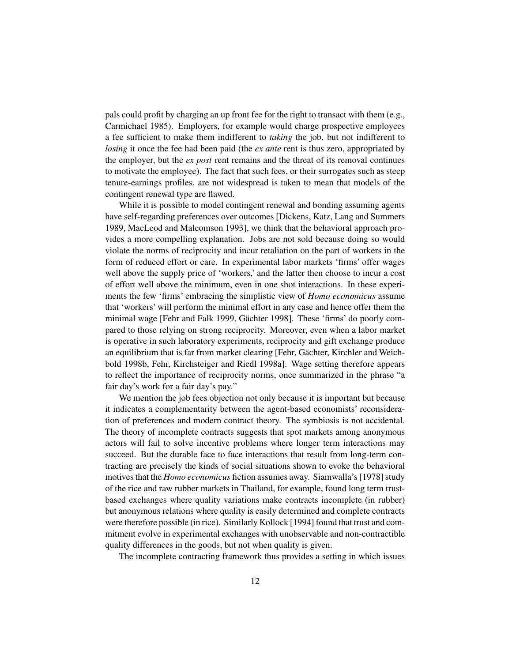pals could profit by charging an up front fee for the right to transact with them (e.g., Carmichael 1985). Employers, for example would charge prospective employees a fee sufficient to make them indifferent to *taking* the job, but not indifferent to *losing* it once the fee had been paid (the *ex ante* rent is thus zero, appropriated by the employer, but the *ex post* rent remains and the threat of its removal continues to motivate the employee). The fact that such fees, or their surrogates such as steep tenure-earnings profiles, are not widespread is taken to mean that models of the contingent renewal type are flawed.

While it is possible to model contingent renewal and bonding assuming agents have self-regarding preferences over outcomes [Dickens, Katz, Lang and Summers 1989, MacLeod and Malcomson 1993], we think that the behavioral approach provides a more compelling explanation. Jobs are not sold because doing so would violate the norms of reciprocity and incur retaliation on the part of workers in the form of reduced effort or care. In experimental labor markets 'firms' offer wages well above the supply price of 'workers,' and the latter then choose to incur a cost of effort well above the minimum, even in one shot interactions. In these experiments the few 'firms' embracing the simplistic view of *Homo economicus* assume that 'workers' will perform the minimal effort in any case and hence offer them the minimal wage [Fehr and Falk 1999, Gächter 1998]. These 'firms' do poorly compared to those relying on strong reciprocity. Moreover, even when a labor market is operative in such laboratory experiments, reciprocity and gift exchange produce an equilibrium that is far from market clearing [Fehr, Gächter, Kirchler and Weichbold 1998b, Fehr, Kirchsteiger and Riedl 1998a]. Wage setting therefore appears to reflect the importance of reciprocity norms, once summarized in the phrase "a fair day's work for a fair day's pay."

We mention the job fees objection not only because it is important but because it indicates a complementarity between the agent-based economists' reconsideration of preferences and modern contract theory. The symbiosis is not accidental. The theory of incomplete contracts suggests that spot markets among anonymous actors will fail to solve incentive problems where longer term interactions may succeed. But the durable face to face interactions that result from long-term contracting are precisely the kinds of social situations shown to evoke the behavioral motives that the *Homo economicus* fiction assumes away. Siamwalla's [1978] study of the rice and raw rubber markets in Thailand, for example, found long term trustbased exchanges where quality variations make contracts incomplete (in rubber) but anonymous relations where quality is easily determined and complete contracts were therefore possible (in rice). Similarly Kollock [1994] found that trust and commitment evolve in experimental exchanges with unobservable and non-contractible quality differences in the goods, but not when quality is given.

The incomplete contracting framework thus provides a setting in which issues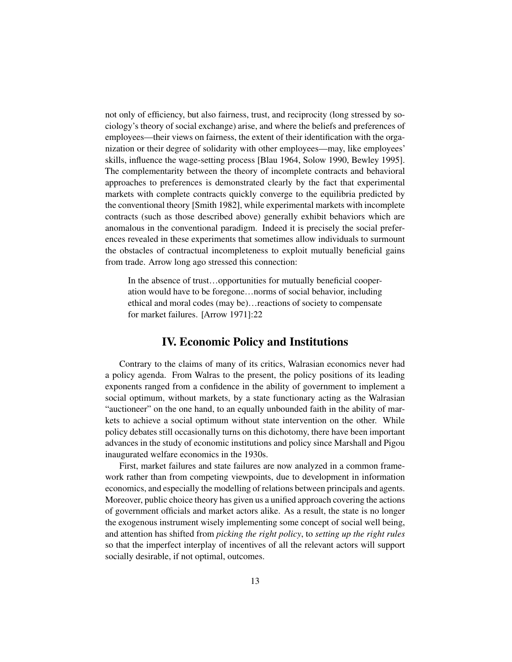not only of efficiency, but also fairness, trust, and reciprocity (long stressed by sociology's theory of social exchange) arise, and where the beliefs and preferences of employees—their views on fairness, the extent of their identification with the organization or their degree of solidarity with other employees—may, like employees' skills, influence the wage-setting process [Blau 1964, Solow 1990, Bewley 1995]. The complementarity between the theory of incomplete contracts and behavioral approaches to preferences is demonstrated clearly by the fact that experimental markets with complete contracts quickly converge to the equilibria predicted by the conventional theory [Smith 1982], while experimental markets with incomplete contracts (such as those described above) generally exhibit behaviors which are anomalous in the conventional paradigm. Indeed it is precisely the social preferences revealed in these experiments that sometimes allow individuals to surmount the obstacles of contractual incompleteness to exploit mutually beneficial gains from trade. Arrow long ago stressed this connection:

In the absence of trust…opportunities for mutually beneficial cooperation would have to be foregone…norms of social behavior, including ethical and moral codes (may be)…reactions of society to compensate for market failures. [Arrow 1971]:22

### **IV. Economic Policy and Institutions**

Contrary to the claims of many of its critics, Walrasian economics never had a policy agenda. From Walras to the present, the policy positions of its leading exponents ranged from a confidence in the ability of government to implement a social optimum, without markets, by a state functionary acting as the Walrasian "auctioneer" on the one hand, to an equally unbounded faith in the ability of markets to achieve a social optimum without state intervention on the other. While policy debates still occasionally turns on this dichotomy, there have been important advances in the study of economic institutions and policy since Marshall and Pigou inaugurated welfare economics in the 1930s.

First, market failures and state failures are now analyzed in a common framework rather than from competing viewpoints, due to development in information economics, and especially the modelling of relations between principals and agents. Moreover, public choice theory has given us a unified approach covering the actions of government officials and market actors alike. As a result, the state is no longer the exogenous instrument wisely implementing some concept of social well being, and attention has shifted from *picking the right policy*, to *setting up the right rules* so that the imperfect interplay of incentives of all the relevant actors will support socially desirable, if not optimal, outcomes.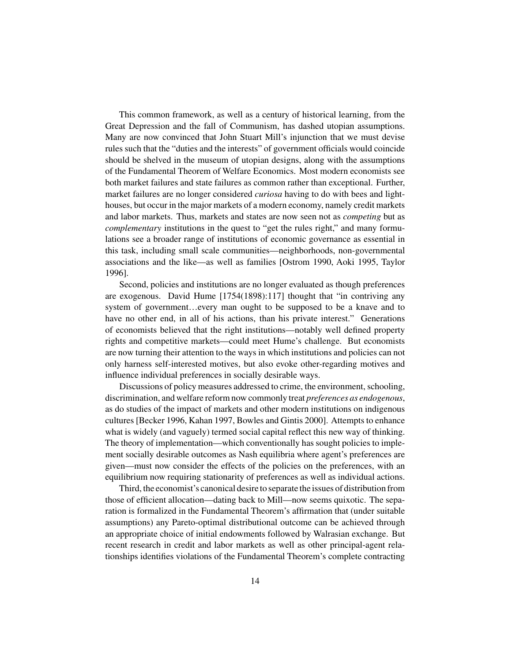This common framework, as well as a century of historical learning, from the Great Depression and the fall of Communism, has dashed utopian assumptions. Many are now convinced that John Stuart Mill's injunction that we must devise rules such that the "duties and the interests" of government officials would coincide should be shelved in the museum of utopian designs, along with the assumptions of the Fundamental Theorem of Welfare Economics. Most modern economists see both market failures and state failures as common rather than exceptional. Further, market failures are no longer considered *curiosa* having to do with bees and lighthouses, but occur in the major markets of a modern economy, namely credit markets and labor markets. Thus, markets and states are now seen not as *competing* but as *complementary* institutions in the quest to "get the rules right," and many formulations see a broader range of institutions of economic governance as essential in this task, including small scale communities—neighborhoods, non-governmental associations and the like—as well as families [Ostrom 1990, Aoki 1995, Taylor 1996].

Second, policies and institutions are no longer evaluated as though preferences are exogenous. David Hume [1754(1898):117] thought that "in contriving any system of government…every man ought to be supposed to be a knave and to have no other end, in all of his actions, than his private interest." Generations of economists believed that the right institutions—notably well defined property rights and competitive markets—could meet Hume's challenge. But economists are now turning their attention to the ways in which institutions and policies can not only harness self-interested motives, but also evoke other-regarding motives and influence individual preferences in socially desirable ways.

Discussions of policy measures addressed to crime, the environment, schooling, discrimination, and welfare reform now commonly treat *preferences as endogenous*, as do studies of the impact of markets and other modern institutions on indigenous cultures [Becker 1996, Kahan 1997, Bowles and Gintis 2000]. Attempts to enhance what is widely (and vaguely) termed social capital reflect this new way of thinking. The theory of implementation—which conventionally has sought policies to implement socially desirable outcomes as Nash equilibria where agent's preferences are given—must now consider the effects of the policies on the preferences, with an equilibrium now requiring stationarity of preferences as well as individual actions.

Third, the economist's canonical desire to separate the issues of distribution from those of efficient allocation—dating back to Mill—now seems quixotic. The separation is formalized in the Fundamental Theorem's affirmation that (under suitable assumptions) any Pareto-optimal distributional outcome can be achieved through an appropriate choice of initial endowments followed by Walrasian exchange. But recent research in credit and labor markets as well as other principal-agent relationships identifies violations of the Fundamental Theorem's complete contracting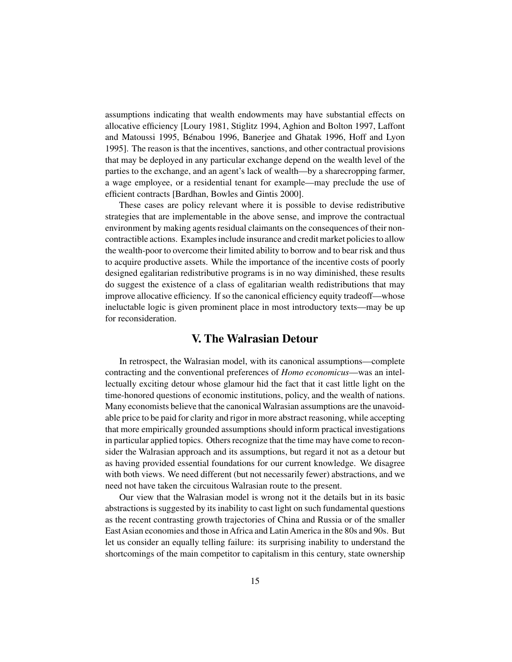assumptions indicating that wealth endowments may have substantial effects on allocative efficiency [Loury 1981, Stiglitz 1994, Aghion and Bolton 1997, Laffont and Matoussi 1995, Bénabou 1996, Banerjee and Ghatak 1996, Hoff and Lyon 1995]. The reason is that the incentives, sanctions, and other contractual provisions that may be deployed in any particular exchange depend on the wealth level of the parties to the exchange, and an agent's lack of wealth—by a sharecropping farmer, a wage employee, or a residential tenant for example—may preclude the use of efficient contracts [Bardhan, Bowles and Gintis 2000].

These cases are policy relevant where it is possible to devise redistributive strategies that are implementable in the above sense, and improve the contractual environment by making agents residual claimants on the consequences of their noncontractible actions. Examples include insurance and credit market policies to allow the wealth-poor to overcome their limited ability to borrow and to bear risk and thus to acquire productive assets. While the importance of the incentive costs of poorly designed egalitarian redistributive programs is in no way diminished, these results do suggest the existence of a class of egalitarian wealth redistributions that may improve allocative efficiency. If so the canonical efficiency equity tradeoff—whose ineluctable logic is given prominent place in most introductory texts—may be up for reconsideration.

#### **V. The Walrasian Detour**

In retrospect, the Walrasian model, with its canonical assumptions—complete contracting and the conventional preferences of *Homo economicus*—was an intellectually exciting detour whose glamour hid the fact that it cast little light on the time-honored questions of economic institutions, policy, and the wealth of nations. Many economists believe that the canonical Walrasian assumptions are the unavoidable price to be paid for clarity and rigor in more abstract reasoning, while accepting that more empirically grounded assumptions should inform practical investigations in particular applied topics. Others recognize that the time may have come to reconsider the Walrasian approach and its assumptions, but regard it not as a detour but as having provided essential foundations for our current knowledge. We disagree with both views. We need different (but not necessarily fewer) abstractions, and we need not have taken the circuitous Walrasian route to the present.

Our view that the Walrasian model is wrong not it the details but in its basic abstractions is suggested by its inability to cast light on such fundamental questions as the recent contrasting growth trajectories of China and Russia or of the smaller East Asian economies and those in Africa and Latin America in the 80s and 90s. But let us consider an equally telling failure: its surprising inability to understand the shortcomings of the main competitor to capitalism in this century, state ownership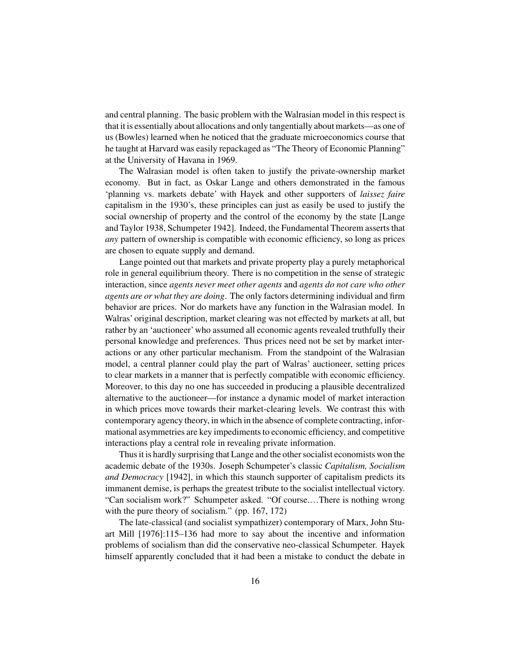and central planning. The basic problem with the Walrasian model in this respect is that it is essentially about allocations and only tangentially about markets—as one of us (Bowles) learned when he noticed that the graduate microeconomics course that he taught at Harvard was easily repackaged as "The Theory of Economic Planning" at the University of Havana in 1969.

The Walrasian model is often taken to justify the private-ownership market economy. But in fact, as Oskar Lange and others demonstrated in the famous 'planning vs. markets debate' with Hayek and other supporters of *laissez faire* capitalism in the 1930's, these principles can just as easily be used to justify the social ownership of property and the control of the economy by the state [Lange and Taylor 1938, Schumpeter 1942]. Indeed, the Fundamental Theorem asserts that *any* pattern of ownership is compatible with economic efficiency, so long as prices are chosen to equate supply and demand.

Lange pointed out that markets and private property play a purely metaphorical role in general equilibrium theory. There is no competition in the sense of strategic interaction, since *agents never meet other agents* and *agents do not care who other agents are or what they are doing*. The only factors determining individual and firm behavior are prices. Nor do markets have any function in the Walrasian model. In Walras' original description, market clearing was not effected by markets at all, but rather by an 'auctioneer' who assumed all economic agents revealed truthfully their personal knowledge and preferences. Thus prices need not be set by market interactions or any other particular mechanism. From the standpoint of the Walrasian model, a central planner could play the part of Walras' auctioneer, setting prices to clear markets in a manner that is perfectly compatible with economic efficiency. Moreover, to this day no one has succeeded in producing a plausible decentralized alternative to the auctioneer—for instance a dynamic model of market interaction in which prices move towards their market-clearing levels. We contrast this with contemporary agency theory, in which in the absence of complete contracting, informational asymmetries are key impediments to economic efficiency, and competitive interactions play a central role in revealing private information.

Thus it is hardly surprising that Lange and the other socialist economists won the academic debate of the 1930s. Joseph Schumpeter's classic *Capitalism, Socialism and Democracy* [1942], in which this staunch supporter of capitalism predicts its immanent demise, is perhaps the greatest tribute to the socialist intellectual victory. "Can socialism work?" Schumpeter asked. "Of course.…There is nothing wrong with the pure theory of socialism." (pp. 167, 172)

The late-classical (and socialist sympathizer) contemporary of Marx, John Stuart Mill [1976]:115–136 had more to say about the incentive and information problems of socialism than did the conservative neo-classical Schumpeter. Hayek himself apparently concluded that it had been a mistake to conduct the debate in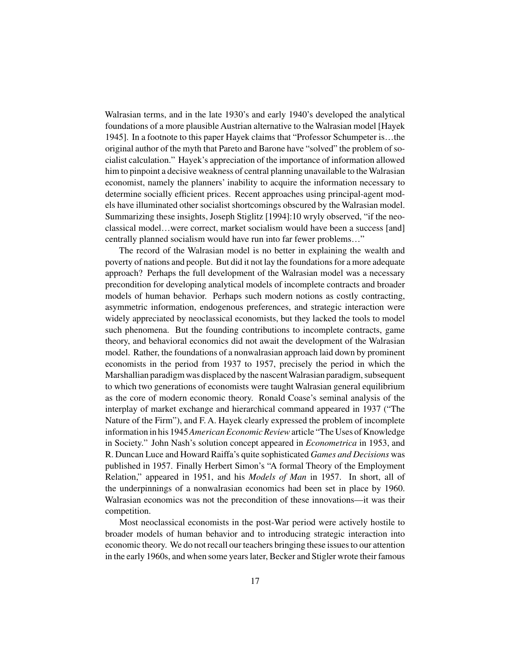Walrasian terms, and in the late 1930's and early 1940's developed the analytical foundations of a more plausible Austrian alternative to the Walrasian model [Hayek 1945]. In a footnote to this paper Hayek claims that "Professor Schumpeter is…the original author of the myth that Pareto and Barone have "solved" the problem of socialist calculation." Hayek's appreciation of the importance of information allowed him to pinpoint a decisive weakness of central planning unavailable to the Walrasian economist, namely the planners' inability to acquire the information necessary to determine socially efficient prices. Recent approaches using principal-agent models have illuminated other socialist shortcomings obscured by the Walrasian model. Summarizing these insights, Joseph Stiglitz [1994]:10 wryly observed, "if the neoclassical model…were correct, market socialism would have been a success [and] centrally planned socialism would have run into far fewer problems…"

The record of the Walrasian model is no better in explaining the wealth and poverty of nations and people. But did it not lay the foundations for a more adequate approach? Perhaps the full development of the Walrasian model was a necessary precondition for developing analytical models of incomplete contracts and broader models of human behavior. Perhaps such modern notions as costly contracting, asymmetric information, endogenous preferences, and strategic interaction were widely appreciated by neoclassical economists, but they lacked the tools to model such phenomena. But the founding contributions to incomplete contracts, game theory, and behavioral economics did not await the development of the Walrasian model. Rather, the foundations of a nonwalrasian approach laid down by prominent economists in the period from 1937 to 1957, precisely the period in which the Marshallian paradigm was displaced by the nascent Walrasian paradigm, subsequent to which two generations of economists were taught Walrasian general equilibrium as the core of modern economic theory. Ronald Coase's seminal analysis of the interplay of market exchange and hierarchical command appeared in 1937 ("The Nature of the Firm"), and F. A. Hayek clearly expressed the problem of incomplete information in his 1945*American Economic Review*article "The Uses of Knowledge in Society." John Nash's solution concept appeared in *Econometrica* in 1953, and R. Duncan Luce and Howard Raiffa's quite sophisticated *Games and Decisions* was published in 1957. Finally Herbert Simon's "A formal Theory of the Employment Relation," appeared in 1951, and his *Models of Man* in 1957. In short, all of the underpinnings of a nonwalrasian economics had been set in place by 1960. Walrasian economics was not the precondition of these innovations—it was their competition.

Most neoclassical economists in the post-War period were actively hostile to broader models of human behavior and to introducing strategic interaction into economic theory. We do not recall our teachers bringing these issues to our attention in the early 1960s, and when some years later, Becker and Stigler wrote their famous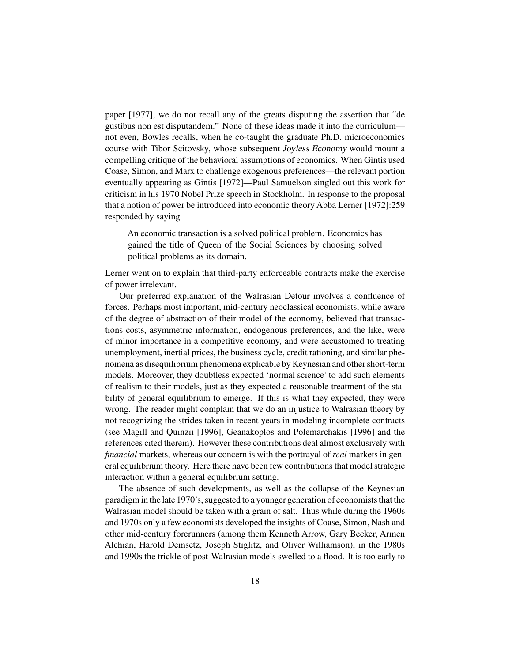paper [1977], we do not recall any of the greats disputing the assertion that "de gustibus non est disputandem." None of these ideas made it into the curriculum not even, Bowles recalls, when he co-taught the graduate Ph.D. microeconomics course with Tibor Scitovsky, whose subsequent Joyless Economy would mount a compelling critique of the behavioral assumptions of economics. When Gintis used Coase, Simon, and Marx to challenge exogenous preferences—the relevant portion eventually appearing as Gintis [1972]—Paul Samuelson singled out this work for criticism in his 1970 Nobel Prize speech in Stockholm. In response to the proposal that a notion of power be introduced into economic theory Abba Lerner [1972]:259 responded by saying

An economic transaction is a solved political problem. Economics has gained the title of Queen of the Social Sciences by choosing solved political problems as its domain.

Lerner went on to explain that third-party enforceable contracts make the exercise of power irrelevant.

Our preferred explanation of the Walrasian Detour involves a confluence of forces. Perhaps most important, mid-century neoclassical economists, while aware of the degree of abstraction of their model of the economy, believed that transactions costs, asymmetric information, endogenous preferences, and the like, were of minor importance in a competitive economy, and were accustomed to treating unemployment, inertial prices, the business cycle, credit rationing, and similar phenomena as disequilibrium phenomena explicable by Keynesian and other short-term models. Moreover, they doubtless expected 'normal science' to add such elements of realism to their models, just as they expected a reasonable treatment of the stability of general equilibrium to emerge. If this is what they expected, they were wrong. The reader might complain that we do an injustice to Walrasian theory by not recognizing the strides taken in recent years in modeling incomplete contracts (see Magill and Quinzii [1996], Geanakoplos and Polemarchakis [1996] and the references cited therein). However these contributions deal almost exclusively with *financial* markets, whereas our concern is with the portrayal of *real* markets in general equilibrium theory. Here there have been few contributions that model strategic interaction within a general equilibrium setting.

The absence of such developments, as well as the collapse of the Keynesian paradigm in the late 1970's, suggested to a younger generation of economists that the Walrasian model should be taken with a grain of salt. Thus while during the 1960s and 1970s only a few economists developed the insights of Coase, Simon, Nash and other mid-century forerunners (among them Kenneth Arrow, Gary Becker, Armen Alchian, Harold Demsetz, Joseph Stiglitz, and Oliver Williamson), in the 1980s and 1990s the trickle of post-Walrasian models swelled to a flood. It is too early to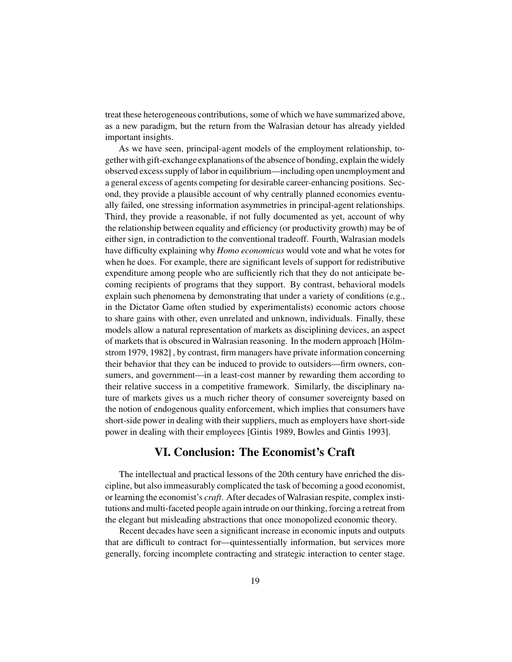treat these heterogeneous contributions, some of which we have summarized above, as a new paradigm, but the return from the Walrasian detour has already yielded important insights.

As we have seen, principal-agent models of the employment relationship, together with gift-exchange explanations of the absence of bonding, explain the widely observed excess supply of labor in equilibrium—including open unemployment and a general excess of agents competing for desirable career-enhancing positions. Second, they provide a plausible account of why centrally planned economies eventually failed, one stressing information asymmetries in principal-agent relationships. Third, they provide a reasonable, if not fully documented as yet, account of why the relationship between equality and efficiency (or productivity growth) may be of either sign, in contradiction to the conventional tradeoff. Fourth, Walrasian models have difficulty explaining why *Homo economicus* would vote and what he votes for when he does. For example, there are significant levels of support for redistributive expenditure among people who are sufficiently rich that they do not anticipate becoming recipients of programs that they support. By contrast, behavioral models explain such phenomena by demonstrating that under a variety of conditions (e.g., in the Dictator Game often studied by experimentalists) economic actors choose to share gains with other, even unrelated and unknown, individuals. Finally, these models allow a natural representation of markets as disciplining devices, an aspect of markets that is obscured in Walrasian reasoning. In the modern approach [Hölmstrom 1979, 1982] , by contrast, firm managers have private information concerning their behavior that they can be induced to provide to outsiders—firm owners, consumers, and government—in a least-cost manner by rewarding them according to their relative success in a competitive framework. Similarly, the disciplinary nature of markets gives us a much richer theory of consumer sovereignty based on the notion of endogenous quality enforcement, which implies that consumers have short-side power in dealing with their suppliers, much as employers have short-side power in dealing with their employees [Gintis 1989, Bowles and Gintis 1993].

### **VI. Conclusion: The Economist's Craft**

The intellectual and practical lessons of the 20th century have enriched the discipline, but also immeasurably complicated the task of becoming a good economist, or learning the economist's *craft*. After decades of Walrasian respite, complex institutions and multi-faceted people again intrude on our thinking, forcing a retreat from the elegant but misleading abstractions that once monopolized economic theory.

Recent decades have seen a significant increase in economic inputs and outputs that are difficult to contract for—quintessentially information, but services more generally, forcing incomplete contracting and strategic interaction to center stage.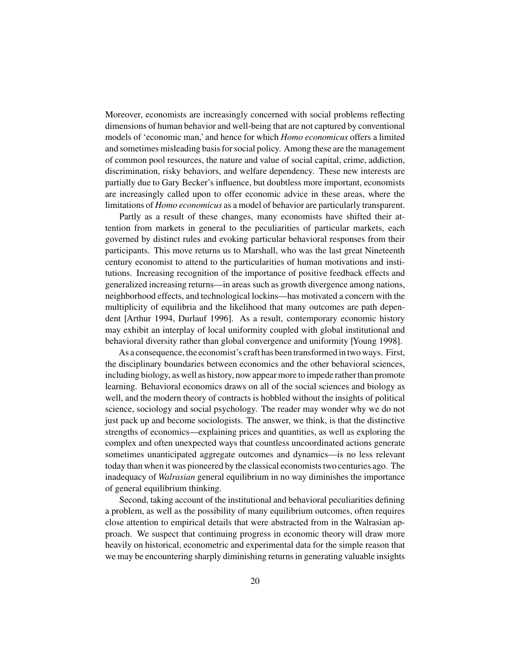Moreover, economists are increasingly concerned with social problems reflecting dimensions of human behavior and well-being that are not captured by conventional models of 'economic man,' and hence for which *Homo economicus* offers a limited and sometimes misleading basis for social policy. Among these are the management of common pool resources, the nature and value of social capital, crime, addiction, discrimination, risky behaviors, and welfare dependency. These new interests are partially due to Gary Becker's influence, but doubtless more important, economists are increasingly called upon to offer economic advice in these areas, where the limitations of *Homo economicus* as a model of behavior are particularly transparent.

Partly as a result of these changes, many economists have shifted their attention from markets in general to the peculiarities of particular markets, each governed by distinct rules and evoking particular behavioral responses from their participants. This move returns us to Marshall, who was the last great Nineteenth century economist to attend to the particularities of human motivations and institutions. Increasing recognition of the importance of positive feedback effects and generalized increasing returns—in areas such as growth divergence among nations, neighborhood effects, and technological lockins—has motivated a concern with the multiplicity of equilibria and the likelihood that many outcomes are path dependent [Arthur 1994, Durlauf 1996]. As a result, contemporary economic history may exhibit an interplay of local uniformity coupled with global institutional and behavioral diversity rather than global convergence and uniformity [Young 1998].

As a consequence, the economist's craft has been transformed in two ways. First, the disciplinary boundaries between economics and the other behavioral sciences, including biology, as well as history, now appear more to impede rather than promote learning. Behavioral economics draws on all of the social sciences and biology as well, and the modern theory of contracts is hobbled without the insights of political science, sociology and social psychology. The reader may wonder why we do not just pack up and become sociologists. The answer, we think, is that the distinctive strengths of economics—explaining prices and quantities, as well as exploring the complex and often unexpected ways that countless uncoordinated actions generate sometimes unanticipated aggregate outcomes and dynamics—is no less relevant today than when it was pioneered by the classical economists two centuries ago. The inadequacy of *Walrasian* general equilibrium in no way diminishes the importance of general equilibrium thinking.

Second, taking account of the institutional and behavioral peculiarities defining a problem, as well as the possibility of many equilibrium outcomes, often requires close attention to empirical details that were abstracted from in the Walrasian approach. We suspect that continuing progress in economic theory will draw more heavily on historical, econometric and experimental data for the simple reason that we may be encountering sharply diminishing returns in generating valuable insights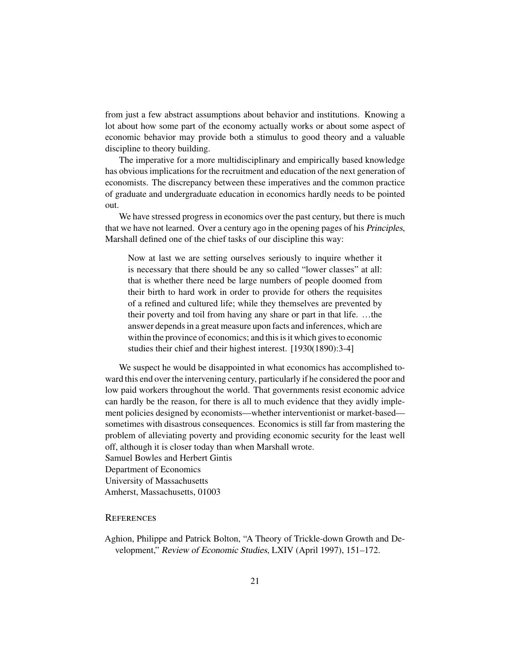from just a few abstract assumptions about behavior and institutions. Knowing a lot about how some part of the economy actually works or about some aspect of economic behavior may provide both a stimulus to good theory and a valuable discipline to theory building.

The imperative for a more multidisciplinary and empirically based knowledge has obvious implications for the recruitment and education of the next generation of economists. The discrepancy between these imperatives and the common practice of graduate and undergraduate education in economics hardly needs to be pointed out.

We have stressed progress in economics over the past century, but there is much that we have not learned. Over a century ago in the opening pages of his Principles, Marshall defined one of the chief tasks of our discipline this way:

Now at last we are setting ourselves seriously to inquire whether it is necessary that there should be any so called "lower classes" at all: that is whether there need be large numbers of people doomed from their birth to hard work in order to provide for others the requisites of a refined and cultured life; while they themselves are prevented by their poverty and toil from having any share or part in that life. …the answer depends in a great measure upon facts and inferences, which are within the province of economics; and this is it which gives to economic studies their chief and their highest interest. [1930(1890):3-4]

We suspect he would be disappointed in what economics has accomplished toward this end over the intervening century, particularly if he considered the poor and low paid workers throughout the world. That governments resist economic advice can hardly be the reason, for there is all to much evidence that they avidly implement policies designed by economists—whether interventionist or market-based sometimes with disastrous consequences. Economics is still far from mastering the problem of alleviating poverty and providing economic security for the least well off, although it is closer today than when Marshall wrote. Samuel Bowles and Herbert Gintis

Department of Economics

University of Massachusetts Amherst, Massachusetts, 01003

#### **REFERENCES**

Aghion, Philippe and Patrick Bolton, "A Theory of Trickle-down Growth and Development," Review of Economic Studies, LXIV (April 1997), 151–172.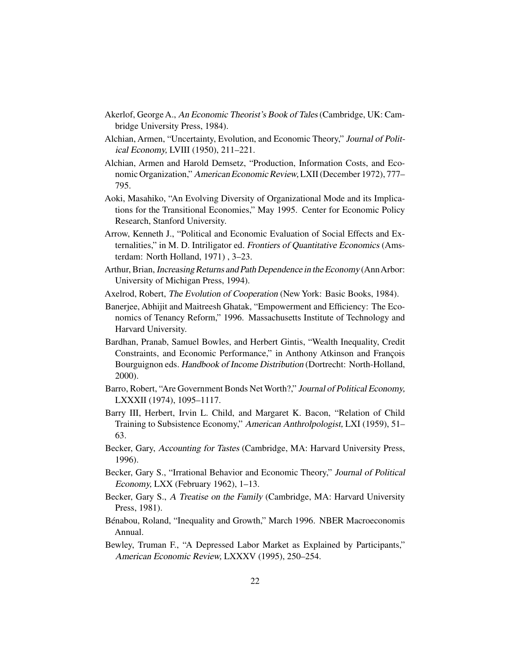- Akerlof, George A., An Economic Theorist's Book of Tales(Cambridge, UK: Cambridge University Press, 1984).
- Alchian, Armen, "Uncertainty, Evolution, and Economic Theory," Journal of Political Economy, LVIII (1950), 211–221.
- Alchian, Armen and Harold Demsetz, "Production, Information Costs, and Economic Organization," American Economic Review, LXII (December 1972), 777– 795.
- Aoki, Masahiko, "An Evolving Diversity of Organizational Mode and its Implications for the Transitional Economies," May 1995. Center for Economic Policy Research, Stanford University.
- Arrow, Kenneth J., "Political and Economic Evaluation of Social Effects and Externalities," in M. D. Intriligator ed. Frontiers of Quantitative Economics (Amsterdam: North Holland, 1971) , 3–23.
- Arthur, Brian, Increasing Returns and Path Dependence in the Economy (Ann Arbor: University of Michigan Press, 1994).
- Axelrod, Robert, The Evolution of Cooperation (New York: Basic Books, 1984).
- Banerjee, Abhijit and Maitreesh Ghatak, "Empowerment and Efficiency: The Economics of Tenancy Reform," 1996. Massachusetts Institute of Technology and Harvard University.
- Bardhan, Pranab, Samuel Bowles, and Herbert Gintis, "Wealth Inequality, Credit Constraints, and Economic Performance," in Anthony Atkinson and François Bourguignon eds. Handbook of Income Distribution (Dortrecht: North-Holland, 2000).
- Barro, Robert, "Are Government Bonds Net Worth?," Journal of Political Economy, LXXXII (1974), 1095–1117.
- Barry III, Herbert, Irvin L. Child, and Margaret K. Bacon, "Relation of Child Training to Subsistence Economy," American Anthrolpologist, LXI (1959), 51– 63.
- Becker, Gary, Accounting for Tastes (Cambridge, MA: Harvard University Press, 1996).
- Becker, Gary S., "Irrational Behavior and Economic Theory," Journal of Political Economy, LXX (February 1962), 1–13.
- Becker, Gary S., A Treatise on the Family (Cambridge, MA: Harvard University Press, 1981).
- Bénabou, Roland, "Inequality and Growth," March 1996. NBER Macroeconomis Annual.
- Bewley, Truman F., "A Depressed Labor Market as Explained by Participants," American Economic Review, LXXXV (1995), 250–254.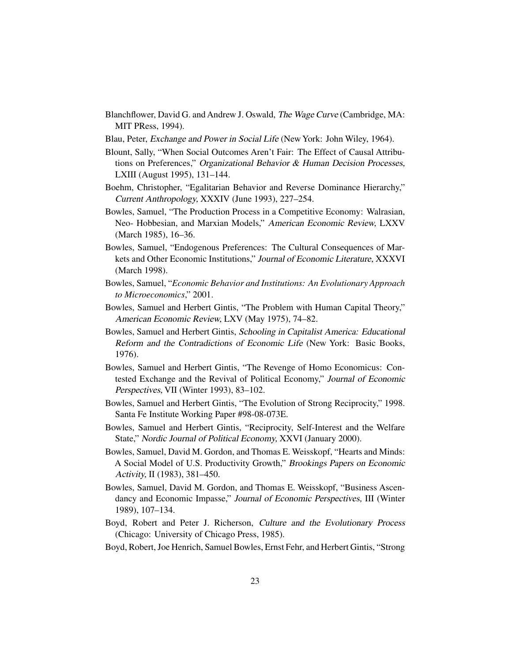- Blanchflower, David G. and Andrew J. Oswald, The Wage Curve (Cambridge, MA: MIT PRess, 1994).
- Blau, Peter, Exchange and Power in Social Life (New York: John Wiley, 1964).
- Blount, Sally, "When Social Outcomes Aren't Fair: The Effect of Causal Attributions on Preferences," Organizational Behavior & Human Decision Processes, LXIII (August 1995), 131–144.
- Boehm, Christopher, "Egalitarian Behavior and Reverse Dominance Hierarchy," Current Anthropology, XXXIV (June 1993), 227–254.
- Bowles, Samuel, "The Production Process in a Competitive Economy: Walrasian, Neo- Hobbesian, and Marxian Models," American Economic Review, LXXV (March 1985), 16–36.
- Bowles, Samuel, "Endogenous Preferences: The Cultural Consequences of Markets and Other Economic Institutions," Journal of Economic Literature, XXXVI (March 1998).
- Bowles, Samuel, "*Economic Behavior and Institutions: An Evolutionary Approach to Microeconomics*," 2001.
- Bowles, Samuel and Herbert Gintis, "The Problem with Human Capital Theory," American Economic Review, LXV (May 1975), 74–82.
- Bowles, Samuel and Herbert Gintis, Schooling in Capitalist America: Educational Reform and the Contradictions of Economic Life (New York: Basic Books, 1976).
- Bowles, Samuel and Herbert Gintis, "The Revenge of Homo Economicus: Contested Exchange and the Revival of Political Economy," Journal of Economic Perspectives, VII (Winter 1993), 83–102.
- Bowles, Samuel and Herbert Gintis, "The Evolution of Strong Reciprocity," 1998. Santa Fe Institute Working Paper #98-08-073E.
- Bowles, Samuel and Herbert Gintis, "Reciprocity, Self-Interest and the Welfare State," Nordic Journal of Political Economy, XXVI (January 2000).
- Bowles, Samuel, David M. Gordon, and Thomas E. Weisskopf, "Hearts and Minds: A Social Model of U.S. Productivity Growth," Brookings Papers on Economic Activity, II (1983), 381–450.
- Bowles, Samuel, David M. Gordon, and Thomas E. Weisskopf, "Business Ascendancy and Economic Impasse," Journal of Economic Perspectives, III (Winter 1989), 107–134.
- Boyd, Robert and Peter J. Richerson, Culture and the Evolutionary Process (Chicago: University of Chicago Press, 1985).
- Boyd, Robert, Joe Henrich, Samuel Bowles, Ernst Fehr, and Herbert Gintis, "Strong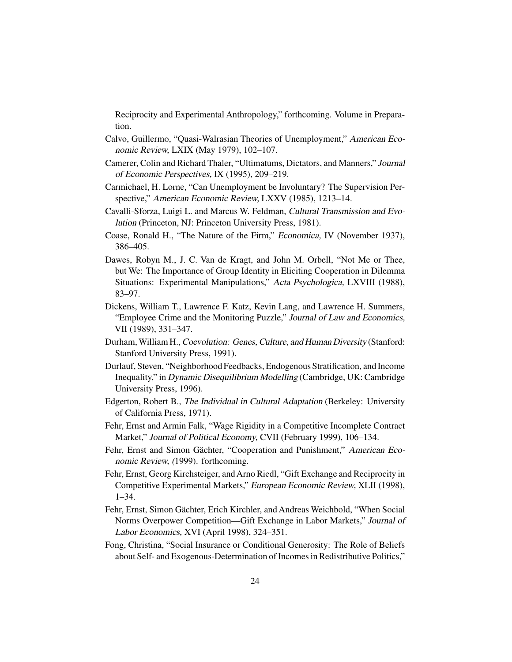Reciprocity and Experimental Anthropology," forthcoming. Volume in Preparation.

- Calvo, Guillermo, "Quasi-Walrasian Theories of Unemployment," American Economic Review, LXIX (May 1979), 102–107.
- Camerer, Colin and Richard Thaler, "Ultimatums, Dictators, and Manners," Journal of Economic Perspectives, IX (1995), 209–219.
- Carmichael, H. Lorne, "Can Unemployment be Involuntary? The Supervision Perspective," American Economic Review, LXXV (1985), 1213–14.
- Cavalli-Sforza, Luigi L. and Marcus W. Feldman, Cultural Transmission and Evolution (Princeton, NJ: Princeton University Press, 1981).
- Coase, Ronald H., "The Nature of the Firm," Economica, IV (November 1937), 386–405.
- Dawes, Robyn M., J. C. Van de Kragt, and John M. Orbell, "Not Me or Thee, but We: The Importance of Group Identity in Eliciting Cooperation in Dilemma Situations: Experimental Manipulations," Acta Psychologica, LXVIII (1988), 83–97.
- Dickens, William T., Lawrence F. Katz, Kevin Lang, and Lawrence H. Summers, "Employee Crime and the Monitoring Puzzle," Journal of Law and Economics, VII (1989), 331–347.
- Durham, William H., Coevolution: Genes, Culture, and Human Diversity (Stanford: Stanford University Press, 1991).
- Durlauf, Steven, "Neighborhood Feedbacks, Endogenous Stratification, and Income Inequality," in Dynamic Disequilibrium Modelling (Cambridge, UK: Cambridge University Press, 1996).
- Edgerton, Robert B., The Individual in Cultural Adaptation (Berkeley: University of California Press, 1971).
- Fehr, Ernst and Armin Falk, "Wage Rigidity in a Competitive Incomplete Contract Market," Journal of Political Economy, CVII (February 1999), 106–134.
- Fehr, Ernst and Simon Gächter, "Cooperation and Punishment," American Economic Review, (1999). forthcoming.
- Fehr, Ernst, Georg Kirchsteiger, and Arno Riedl, "Gift Exchange and Reciprocity in Competitive Experimental Markets," European Economic Review, XLII (1998), 1–34.
- Fehr, Ernst, Simon Gächter, Erich Kirchler, and Andreas Weichbold, "When Social Norms Overpower Competition—Gift Exchange in Labor Markets," Journal of Labor Economics, XVI (April 1998), 324–351.
- Fong, Christina, "Social Insurance or Conditional Generosity: The Role of Beliefs about Self- and Exogenous-Determination of Incomes in Redistributive Politics,"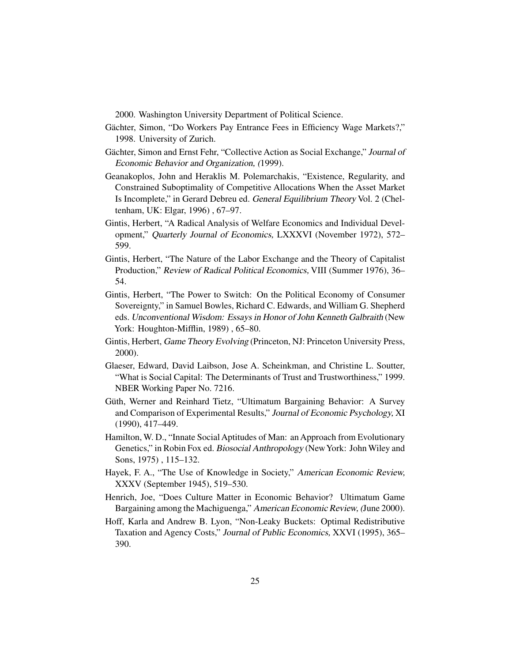2000. Washington University Department of Political Science.

- Gächter, Simon, "Do Workers Pay Entrance Fees in Efficiency Wage Markets?," 1998. University of Zurich.
- Gächter, Simon and Ernst Fehr, "Collective Action as Social Exchange," Journal of Economic Behavior and Organization, (1999).
- Geanakoplos, John and Heraklis M. Polemarchakis, "Existence, Regularity, and Constrained Suboptimality of Competitive Allocations When the Asset Market Is Incomplete," in Gerard Debreu ed. General Equilibrium Theory Vol. 2 (Cheltenham, UK: Elgar, 1996) , 67–97.
- Gintis, Herbert, "A Radical Analysis of Welfare Economics and Individual Development," Quarterly Journal of Economics, LXXXVI (November 1972), 572– 599.
- Gintis, Herbert, "The Nature of the Labor Exchange and the Theory of Capitalist Production," Review of Radical Political Economics, VIII (Summer 1976), 36– 54.
- Gintis, Herbert, "The Power to Switch: On the Political Economy of Consumer Sovereignty," in Samuel Bowles, Richard C. Edwards, and William G. Shepherd eds. Unconventional Wisdom: Essays in Honor of John Kenneth Galbraith (New York: Houghton-Mifflin, 1989) , 65–80.
- Gintis, Herbert, Game Theory Evolving (Princeton, NJ: Princeton University Press, 2000).
- Glaeser, Edward, David Laibson, Jose A. Scheinkman, and Christine L. Soutter, "What is Social Capital: The Determinants of Trust and Trustworthiness," 1999. NBER Working Paper No. 7216.
- Güth, Werner and Reinhard Tietz, "Ultimatum Bargaining Behavior: A Survey and Comparison of Experimental Results," Journal of Economic Psychology, XI (1990), 417–449.
- Hamilton, W. D., "Innate Social Aptitudes of Man: an Approach from Evolutionary Genetics," in Robin Fox ed. Biosocial Anthropology (NewYork: John Wiley and Sons, 1975) , 115–132.
- Hayek, F. A., "The Use of Knowledge in Society," American Economic Review, XXXV (September 1945), 519–530.
- Henrich, Joe, "Does Culture Matter in Economic Behavior? Ultimatum Game Bargaining among the Machiguenga," American Economic Review, (June 2000).
- Hoff, Karla and Andrew B. Lyon, "Non-Leaky Buckets: Optimal Redistributive Taxation and Agency Costs," Journal of Public Economics, XXVI (1995), 365– 390.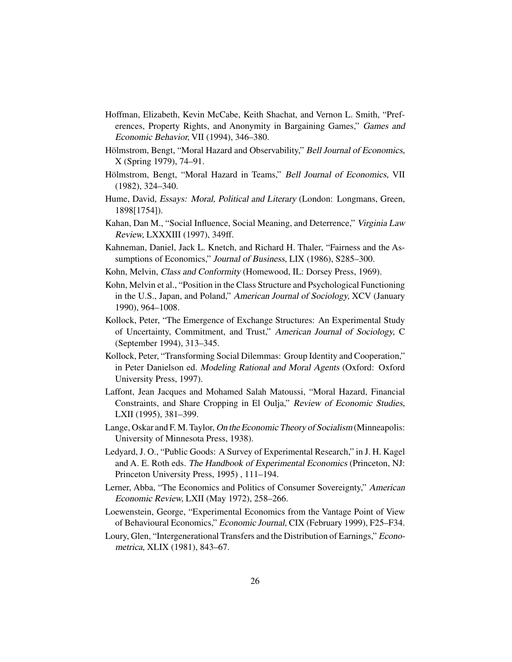- Hoffman, Elizabeth, Kevin McCabe, Keith Shachat, and Vernon L. Smith, "Preferences, Property Rights, and Anonymity in Bargaining Games," Games and Economic Behavior, VII (1994), 346–380.
- Hölmstrom, Bengt, "Moral Hazard and Observability," Bell Journal of Economics, X (Spring 1979), 74–91.
- Hölmstrom, Bengt, "Moral Hazard in Teams," Bell Journal of Economics, VII (1982), 324–340.
- Hume, David, Essays: Moral, Political and Literary (London: Longmans, Green, 1898[1754]).
- Kahan, Dan M., "Social Influence, Social Meaning, and Deterrence," Virginia Law Review, LXXXIII (1997), 349ff.
- Kahneman, Daniel, Jack L. Knetch, and Richard H. Thaler, "Fairness and the Assumptions of Economics," Journal of Business, LIX (1986), S285-300.
- Kohn, Melvin, Class and Conformity (Homewood, IL: Dorsey Press, 1969).
- Kohn, Melvin et al., "Position in the Class Structure and Psychological Functioning in the U.S., Japan, and Poland," American Journal of Sociology, XCV (January 1990), 964–1008.
- Kollock, Peter, "The Emergence of Exchange Structures: An Experimental Study of Uncertainty, Commitment, and Trust," American Journal of Sociology, C (September 1994), 313–345.
- Kollock, Peter, "Transforming Social Dilemmas: Group Identity and Cooperation," in Peter Danielson ed. Modeling Rational and Moral Agents (Oxford: Oxford University Press, 1997).
- Laffont, Jean Jacques and Mohamed Salah Matoussi, "Moral Hazard, Financial Constraints, and Share Cropping in El Oulja," Review of Economic Studies, LXII (1995), 381–399.
- Lange, Oskar and F. M. Taylor, On the Economic Theory of Socialism(Minneapolis: University of Minnesota Press, 1938).
- Ledyard, J. O., "Public Goods: A Survey of Experimental Research," in J. H. Kagel and A. E. Roth eds. The Handbook of Experimental Economics (Princeton, NJ: Princeton University Press, 1995) , 111–194.
- Lerner, Abba, "The Economics and Politics of Consumer Sovereignty," American Economic Review, LXII (May 1972), 258–266.
- Loewenstein, George, "Experimental Economics from the Vantage Point of View of Behavioural Economics," Economic Journal, CIX (February 1999), F25–F34.
- Loury, Glen, "Intergenerational Transfers and the Distribution of Earnings," Econometrica, XLIX (1981), 843–67.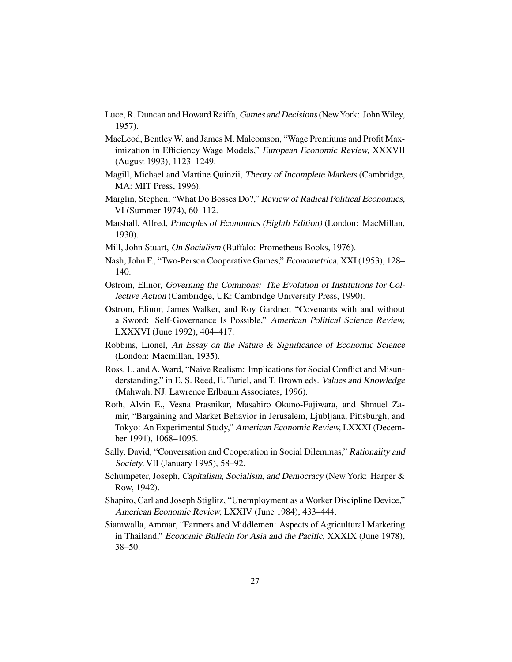- Luce, R. Duncan and Howard Raiffa, Games and Decisions(NewYork: John Wiley, 1957).
- MacLeod, Bentley W. and James M. Malcomson, "Wage Premiums and Profit Maximization in Efficiency Wage Models," European Economic Review, XXXVII (August 1993), 1123–1249.
- Magill, Michael and Martine Quinzii, Theory of Incomplete Markets (Cambridge, MA: MIT Press, 1996).
- Marglin, Stephen, "What Do Bosses Do?," Review of Radical Political Economics, VI (Summer 1974), 60–112.
- Marshall, Alfred, Principles of Economics (Eighth Edition) (London: MacMillan, 1930).
- Mill, John Stuart, On Socialism (Buffalo: Prometheus Books, 1976).
- Nash, John F., "Two-Person Cooperative Games," Econometrica, XXI (1953), 128– 140.
- Ostrom, Elinor, Governing the Commons: The Evolution of Institutions for Collective Action (Cambridge, UK: Cambridge University Press, 1990).
- Ostrom, Elinor, James Walker, and Roy Gardner, "Covenants with and without a Sword: Self-Governance Is Possible," American Political Science Review, LXXXVI (June 1992), 404–417.
- Robbins, Lionel, An Essay on the Nature & Significance of Economic Science (London: Macmillan, 1935).
- Ross, L. and A. Ward, "Naive Realism: Implications for Social Conflict and Misunderstanding," in E. S. Reed, E. Turiel, and T. Brown eds. Values and Knowledge (Mahwah, NJ: Lawrence Erlbaum Associates, 1996).
- Roth, Alvin E., Vesna Prasnikar, Masahiro Okuno-Fujiwara, and Shmuel Zamir, "Bargaining and Market Behavior in Jerusalem, Ljubljana, Pittsburgh, and Tokyo: An Experimental Study," American Economic Review, LXXXI (December 1991), 1068–1095.
- Sally, David, "Conversation and Cooperation in Social Dilemmas," Rationality and Society, VII (January 1995), 58–92.
- Schumpeter, Joseph, Capitalism, Socialism, and Democracy (New York: Harper & Row, 1942).
- Shapiro, Carl and Joseph Stiglitz, "Unemployment as a Worker Discipline Device," American Economic Review, LXXIV (June 1984), 433–444.
- Siamwalla, Ammar, "Farmers and Middlemen: Aspects of Agricultural Marketing in Thailand," Economic Bulletin for Asia and the Pacific, XXXIX (June 1978), 38–50.